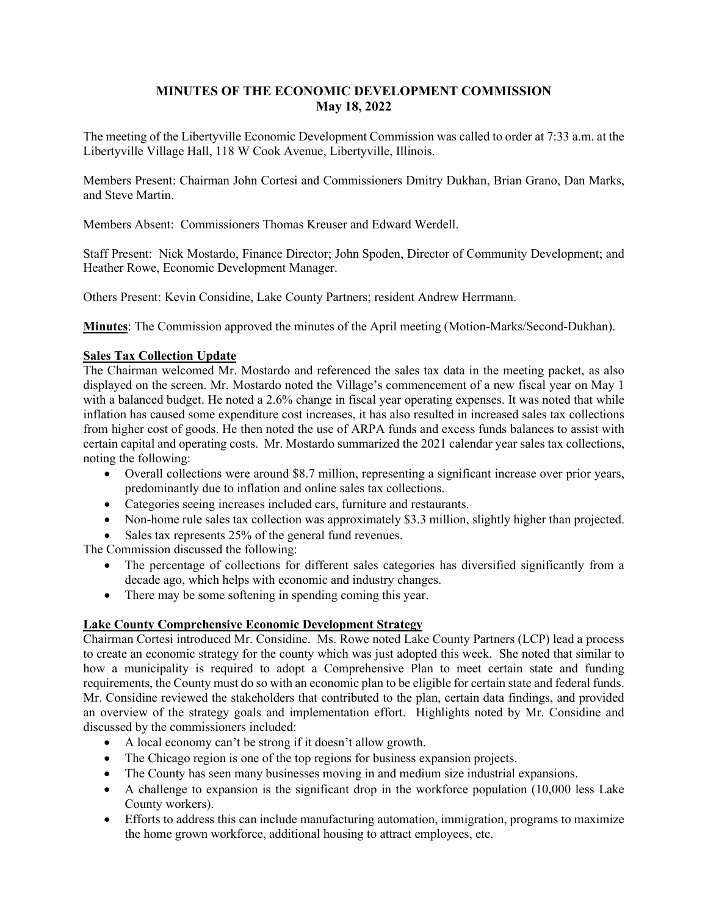# **MINUTES OF THE ECONOMIC DEVELOPMENT COMMISSION May 18, 2022**

The meeting of the Libertyville Economic Development Commission was called to order at 7:33 a.m. at the Libertyville Village Hall, 118 W Cook Avenue, Libertyville, Illinois.

Members Present: Chairman John Cortesi and Commissioners Dmitry Dukhan, Brian Grano, Dan Marks, and Steve Martin.

Members Absent: Commissioners Thomas Kreuser and Edward Werdell.

Staff Present: Nick Mostardo, Finance Director; John Spoden, Director of Community Development; and Heather Rowe, Economic Development Manager.

Others Present: Kevin Considine, Lake County Partners; resident Andrew Herrmann.

**Minutes**: The Commission approved the minutes of the April meeting (Motion-Marks/Second-Dukhan).

### **Sales Tax Collection Update**

The Chairman welcomed Mr. Mostardo and referenced the sales tax data in the meeting packet, as also displayed on the screen. Mr. Mostardo noted the Village's commencement of a new fiscal year on May 1 with a balanced budget. He noted a 2.6% change in fiscal year operating expenses. It was noted that while inflation has caused some expenditure cost increases, it has also resulted in increased sales tax collections from higher cost of goods. He then noted the use of ARPA funds and excess funds balances to assist with certain capital and operating costs. Mr. Mostardo summarized the 2021 calendar year sales tax collections, noting the following:

- Overall collections were around \$8.7 million, representing a significant increase over prior years, predominantly due to inflation and online sales tax collections.
- Categories seeing increases included cars, furniture and restaurants.
- Non-home rule sales tax collection was approximately \$3.3 million, slightly higher than projected.
- Sales tax represents 25% of the general fund revenues.

The Commission discussed the following:

- The percentage of collections for different sales categories has diversified significantly from a decade ago, which helps with economic and industry changes.
- There may be some softening in spending coming this year.

#### **Lake County Comprehensive Economic Development Strategy**

Chairman Cortesi introduced Mr. Considine. Ms. Rowe noted Lake County Partners (LCP) lead a process to create an economic strategy for the county which was just adopted this week. She noted that similar to how a municipality is required to adopt a Comprehensive Plan to meet certain state and funding requirements, the County must do so with an economic plan to be eligible for certain state and federal funds. Mr. Considine reviewed the stakeholders that contributed to the plan, certain data findings, and provided an overview of the strategy goals and implementation effort. Highlights noted by Mr. Considine and discussed by the commissioners included:

- A local economy can't be strong if it doesn't allow growth.
- The Chicago region is one of the top regions for business expansion projects.
- The County has seen many businesses moving in and medium size industrial expansions.
- A challenge to expansion is the significant drop in the workforce population (10,000 less Lake County workers).
- Efforts to address this can include manufacturing automation, immigration, programs to maximize the home grown workforce, additional housing to attract employees, etc.